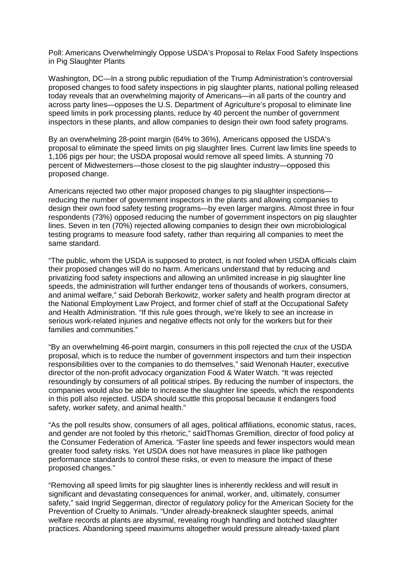Poll: Americans Overwhelmingly Oppose USDA's Proposal to Relax Food Safety Inspections in Pig Slaughter Plants

Washington, DC—In a strong public repudiation of the Trump Administration's controversial proposed changes to food safety inspections in pig slaughter plants, national polling released today reveals that an overwhelming majority of Americans—in all parts of the country and across party lines—opposes the U.S. Department of Agriculture's proposal to eliminate line speed limits in pork processing plants, reduce by 40 percent the number of government inspectors in these plants, and allow companies to design their own food safety programs.

By an overwhelming 28-point margin (64% to 36%), Americans opposed the USDA's proposal to eliminate the speed limits on pig slaughter lines. Current law limits line speeds to 1,106 pigs per hour; the USDA proposal would remove all speed limits. A stunning 70 percent of Midwesterners—those closest to the pig slaughter industry—opposed this proposed change.

Americans rejected two other major proposed changes to pig slaughter inspections reducing the number of government inspectors in the plants and allowing companies to design their own food safety testing programs—by even larger margins. Almost three in four respondents (73%) opposed reducing the number of government inspectors on pig slaughter lines. Seven in ten (70%) rejected allowing companies to design their own microbiological testing programs to measure food safety, rather than requiring all companies to meet the same standard.

"The public, whom the USDA is supposed to protect, is not fooled when USDA officials claim their proposed changes will do no harm. Americans understand that by reducing and privatizing food safety inspections and allowing an unlimited increase in pig slaughter line speeds, the administration will further endanger tens of thousands of workers, consumers, and animal welfare," said Deborah Berkowitz, worker safety and health program director at the National Employment Law Project, and former chief of staff at the Occupational Safety and Health Administration. "If this rule goes through, we're likely to see an increase in serious work-related injuries and negative effects not only for the workers but for their families and communities."

"By an overwhelming 46-point margin, consumers in this poll rejected the crux of the USDA proposal, which is to reduce the number of government inspectors and turn their inspection responsibilities over to the companies to do themselves," said Wenonah Hauter, executive director of the non-profit advocacy organization Food & Water Watch. "It was rejected resoundingly by consumers of all political stripes. By reducing the number of inspectors, the companies would also be able to increase the slaughter line speeds, which the respondents in this poll also rejected. USDA should scuttle this proposal because it endangers food safety, worker safety, and animal health."

"As the poll results show, consumers of all ages, political affiliations, economic status, races, and gender are not fooled by this rhetoric," saidThomas Gremillion, director of food policy at the Consumer Federation of America. "Faster line speeds and fewer inspectors would mean greater food safety risks. Yet USDA does not have measures in place like pathogen performance standards to control these risks, or even to measure the impact of these proposed changes."

"Removing all speed limits for pig slaughter lines is inherently reckless and will result in significant and devastating consequences for animal, worker, and, ultimately, consumer safety," said Ingrid Seggerman, director of regulatory policy for the American Society for the Prevention of Cruelty to Animals. "Under already-breakneck slaughter speeds, animal welfare records at plants are abysmal, revealing rough handling and botched slaughter practices. Abandoning speed maximums altogether would pressure already-taxed plant